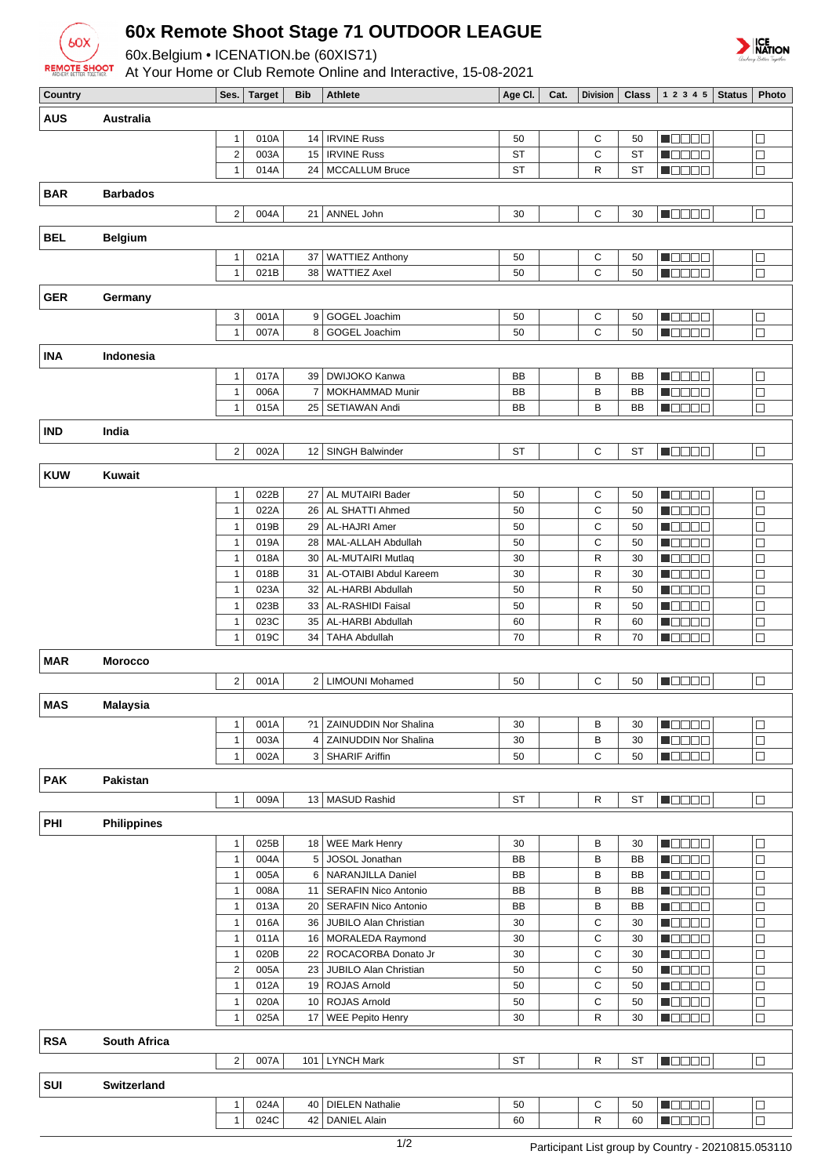

## **60x Remote Shoot Stage 71 OUTDOOR LEAGUE**

60x.Belgium • ICENATION.be (60XIS71)

At Your Home or Club Remote Online and Interactive, 15-08-2021



| Country    |                    | Ses.                         | <b>Target</b> | <b>Bib</b>     | <b>Athlete</b>                                     | Age CI.   | Cat. | <b>Division</b> | <b>Class</b> | 1 2 3 4 5                                    | <b>Status</b> | Photo            |
|------------|--------------------|------------------------------|---------------|----------------|----------------------------------------------------|-----------|------|-----------------|--------------|----------------------------------------------|---------------|------------------|
| <b>AUS</b> | Australia          |                              |               |                |                                                    |           |      |                 |              |                                              |               |                  |
|            |                    |                              |               |                |                                                    |           |      |                 |              |                                              |               |                  |
|            |                    | $\mathbf{1}$                 | 010A          | 14             | <b>IRVINE Russ</b>                                 | 50        |      | С               | 50           | n an an                                      |               | $\Box$           |
|            |                    | $\sqrt{2}$                   | 003A          | 15             | <b>IRVINE Russ</b>                                 | <b>ST</b> |      | C               | <b>ST</b>    | HEEEA                                        |               | $\Box$           |
|            |                    | $\mathbf{1}$                 | 014A          |                | 24   MCCALLUM Bruce                                | <b>ST</b> |      | R               | <b>ST</b>    | N B B B B                                    |               | $\Box$           |
| <b>BAR</b> | <b>Barbados</b>    |                              |               |                |                                                    |           |      |                 |              |                                              |               |                  |
|            |                    | $\overline{2}$               | 004A          | 21             | ANNEL John                                         | 30        |      | C               | 30           | M O O O O                                    |               | $\Box$           |
|            |                    |                              |               |                |                                                    |           |      |                 |              |                                              |               |                  |
| <b>BEL</b> | <b>Belgium</b>     |                              |               |                |                                                    |           |      |                 |              |                                              |               |                  |
|            |                    | $\mathbf{1}$                 | 021A          | 37             | <b>WATTIEZ Anthony</b>                             | 50        |      | С               | 50           | n oo o o                                     |               | $\Box$           |
|            |                    | $\mathbf{1}$                 | 021B          | 38             | <b>WATTIEZ Axel</b>                                | 50        |      | $\mathbf C$     | 50           | MODO O                                       |               | $\Box$           |
|            |                    |                              |               |                |                                                    |           |      |                 |              |                                              |               |                  |
| <b>GER</b> | Germany            |                              |               |                |                                                    |           |      |                 |              |                                              |               |                  |
|            |                    | 3                            | 001A          | 9              | GOGEL Joachim                                      | 50        |      | C               | 50           | N B B B E                                    |               | $\Box$           |
|            |                    | $\mathbf{1}$                 | 007A          | 8              | GOGEL Joachim                                      | 50        |      | C               | 50           | M D D D D                                    |               | $\Box$           |
| <b>INA</b> | Indonesia          |                              |               |                |                                                    |           |      |                 |              |                                              |               |                  |
|            |                    | $\mathbf{1}$                 | 017A          | 39             | DWIJOKO Kanwa                                      | BB        |      | B               | BB           | n de se                                      |               | $\Box$           |
|            |                    | $\overline{1}$               | 006A          | $\overline{7}$ | <b>MOKHAMMAD Munir</b>                             | BB        |      | B               | BB           | HOOOL                                        |               | $\Box$           |
|            |                    | $\mathbf{1}$                 | 015A          | 25             | SETIAWAN Andi                                      | BB        |      | B               | BB           | M O D O O                                    |               | $\Box$           |
|            |                    |                              |               |                |                                                    |           |      |                 |              |                                              |               |                  |
| <b>IND</b> | India              |                              |               |                |                                                    |           |      |                 |              |                                              |               |                  |
|            |                    | $\overline{2}$               | 002A          | 12             | SINGH Balwinder                                    | <b>ST</b> |      | C               | <b>ST</b>    | <b>NODOO</b>                                 |               | $\Box$           |
| <b>KUW</b> | <b>Kuwait</b>      |                              |               |                |                                                    |           |      |                 |              |                                              |               |                  |
|            |                    |                              |               |                |                                                    |           |      |                 |              |                                              |               |                  |
|            |                    | $\mathbf{1}$                 | 022B          | 27             | AL MUTAIRI Bader                                   | 50        |      | С               | 50           | N E E E E                                    |               | $\Box$           |
|            |                    | $\mathbf{1}$                 | 022A          | 26             | AL SHATTI Ahmed                                    | 50        |      | C               | 50           | n oo o o                                     |               | □                |
|            |                    | $\overline{1}$               | 019B          |                | 29   AL-HAJRI Amer                                 | 50        |      | C               | 50           | <b>M</b> OOOC                                |               | $\Box$           |
|            |                    | $\mathbf{1}$                 | 019A          | 28             | MAL-ALLAH Abdullah                                 | 50        |      | C               | 50           | N B B B E                                    |               | $\Box$           |
|            |                    | $\mathbf{1}$<br>$\mathbf{1}$ | 018A<br>018B  | 30 <br>31      | <b>AL-MUTAIRI Mutlaq</b><br>AL-OTAIBI Abdul Kareem | 30<br>30  |      | $\mathsf{R}$    | 30<br>30     | M B B B B                                    |               | $\Box$<br>$\Box$ |
|            |                    | $\mathbf{1}$                 | 023A          | 32             | AL-HARBI Abdullah                                  | 50        |      | R<br>R          | 50           | M O O O O                                    |               | $\Box$           |
|            |                    | $\mathbf{1}$                 | 023B          | 33             | <b>AL-RASHIDI Faisal</b>                           | 50        |      | R               | 50           | M O O O O<br><u> Hele E</u>                  |               | $\Box$           |
|            |                    | $\mathbf{1}$                 | 023C          | 35             | AL-HARBI Abdullah                                  | 60        |      | R               | 60           | Maaaa                                        |               | $\Box$           |
|            |                    | $\mathbf{1}$                 | 019C          | 34             | <b>TAHA Abdullah</b>                               | 70        |      | R               | 70           | HOOOL                                        |               | $\Box$           |
|            |                    |                              |               |                |                                                    |           |      |                 |              |                                              |               |                  |
| <b>MAR</b> | <b>Morocco</b>     |                              |               |                |                                                    |           |      |                 |              |                                              |               |                  |
|            |                    | $\sqrt{2}$                   | 001A          |                | 2   LIMOUNI Mohamed                                | 50        |      | С               | 50           | n do da                                      |               | $\Box$           |
| <b>MAS</b> | <b>Malaysia</b>    |                              |               |                |                                                    |           |      |                 |              |                                              |               |                  |
|            |                    |                              |               |                |                                                    |           |      |                 |              |                                              |               |                  |
|            |                    | $\mathbf{1}$                 | 001A          | ?1             | ZAINUDDIN Nor Shalina                              | 30        |      | В               | 30           | N OO OO                                      |               | $\Box$           |
|            |                    | $\mathbf{1}$                 | 003A          | 4              | <b>ZAINUDDIN Nor Shalina</b>                       | 30        |      | В               | 30           | N E E E E                                    |               | $\Box$           |
|            |                    | $\mathbf{1}$                 | 002A          |                | 3   SHARIF Ariffin                                 | 50        |      | C               | 50           | MOODE                                        |               | $\Box$           |
| <b>PAK</b> | <b>Pakistan</b>    |                              |               |                |                                                    |           |      |                 |              |                                              |               |                  |
|            |                    | $\mathbf{1}$                 | 009A          |                | 13   MASUD Rashid                                  | ST        |      | R               | ST           | <b>NOBER</b>                                 |               | $\Box$           |
|            |                    |                              |               |                |                                                    |           |      |                 |              |                                              |               |                  |
| PHI        | <b>Philippines</b> |                              |               |                |                                                    |           |      |                 |              |                                              |               |                  |
|            |                    | $\mathbf{1}$                 | 025B          |                | 18   WEE Mark Henry                                | 30        |      | в               | 30           | n dan a                                      |               | $\Box$           |
|            |                    | $\mathbf{1}$                 | 004A          |                | 5 JOSOL Jonathan                                   | BB        |      | В               | BB           | <b>NODOO</b>                                 |               | $\Box$           |
|            |                    | $\mathbf{1}$                 | 005A          | 6              | NARANJILLA Daniel                                  | BB        |      | В               | ВB           | MOODE                                        |               | $\Box$           |
|            |                    | $\mathbf{1}$                 | 008A          |                | 11   SERAFIN Nico Antonio                          | BB        |      | В               | BB           | NO DE E                                      |               | $\Box$           |
|            |                    | $\mathbf{1}$                 | 013A          |                | 20   SERAFIN Nico Antonio                          | BB        |      | B               | BB           | <b>NOOOO</b>                                 |               | $\Box$           |
|            |                    | $\mathbf{1}$                 | 016A          |                | 36   JUBILO Alan Christian                         | 30        |      | $\mathbf C$     | 30           | <b>HOOOO</b>                                 |               | $\Box$           |
|            |                    | $\mathbf{1}$                 | 011A          |                | 16   MORALEDA Raymond                              | 30        |      | C               | 30           | <u>maana</u>                                 |               | $\Box$           |
|            |                    | $\mathbf{1}$                 | 020B          |                | 22   ROCACORBA Donato Jr                           | 30        |      | C               | 30           | <u> Nooce</u>                                |               | $\Box$           |
|            |                    | $\sqrt{2}$                   | 005A          |                | 23 JUBILO Alan Christian                           | 50        |      | C               | 50           | <b>M</b> OOOL                                |               | $\Box$           |
|            |                    | $\mathbf{1}$                 | 012A          |                | 19 ROJAS Arnold                                    | 50        |      | С               | 50           | <b>NODER</b>                                 |               | $\Box$           |
|            |                    | $\mathbf{1}$                 | 020A          |                | 10 ROJAS Arnold                                    | 50        |      | C               | 50           | <b>MODOO</b>                                 |               | $\Box$           |
|            |                    | $\mathbf{1}$                 | 025A          | 17             | <b>WEE Pepito Henry</b>                            | 30        |      | R               | 30           | MOODE                                        |               | $\Box$           |
| <b>RSA</b> | South Africa       |                              |               |                |                                                    |           |      |                 |              |                                              |               |                  |
|            |                    | $\overline{2}$               | 007A          | 101            | <b>LYNCH Mark</b>                                  | ST        |      | R               | ST           | $\blacksquare$ $\square$ $\square$ $\square$ |               | $\Box$           |
|            |                    |                              |               |                |                                                    |           |      |                 |              |                                              |               |                  |
| SUI        | Switzerland        |                              |               |                |                                                    |           |      |                 |              |                                              |               |                  |
|            |                    | $\mathbf{1}$                 | 024A          | 40             | <b>DIELEN Nathalie</b>                             | 50        |      | С               | 50           | $\blacksquare$                               |               | $\Box$           |
|            |                    | $\mathbf{1}$                 | 024C          |                | 42   DANIEL Alain                                  | 60        |      | ${\sf R}$       | 60           | MAN DA                                       |               |                  |